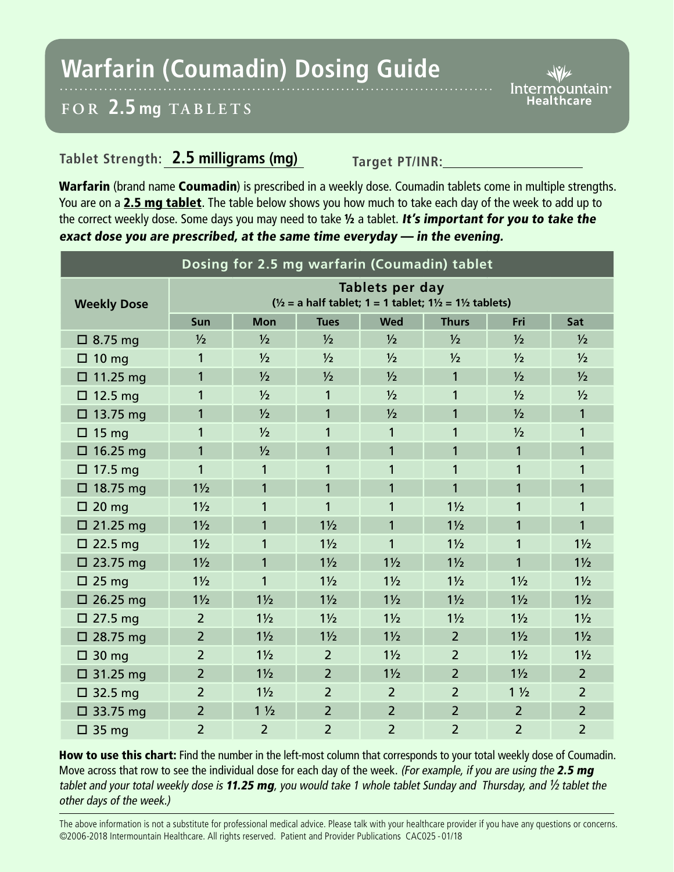## **Warfarin (Coumadin) Dosing Guide**

Intermountain<sup>®</sup> Healthcare

## **FOR 2.5 mg TABL ETS**

## Tablet Strength: **2.5 milligrams (mg)** Target PT/INR:

Warfarin (brand name Coumadin) is prescribed in a weekly dose. Coumadin tablets come in multiple strengths. You are on a 2.5 mg tablet. The table below shows you how much to take each day of the week to add up to the correct weekly dose. Some days you may need to take 1/2 a tablet. It's important for you to take the exact dose you are prescribed, at the same time everyday — in the evening.

| Dosing for 2.5 mg warfarin (Coumadin) tablet |                                                                                                            |                |                |                |                |                |                |
|----------------------------------------------|------------------------------------------------------------------------------------------------------------|----------------|----------------|----------------|----------------|----------------|----------------|
| <b>Weekly Dose</b>                           | Tablets per day<br>$\frac{1}{2}$ = a half tablet; 1 = 1 tablet; 1 $\frac{1}{2}$ = 1 $\frac{1}{2}$ tablets) |                |                |                |                |                |                |
|                                              | Sun                                                                                                        | <b>Mon</b>     | <b>Tues</b>    | <b>Wed</b>     | <b>Thurs</b>   | Fri            | Sat            |
| $\Box$ 8.75 mg                               | 1/2                                                                                                        | $\frac{1}{2}$  | $\frac{1}{2}$  | $\frac{1}{2}$  | $\frac{1}{2}$  | $\frac{1}{2}$  | $\frac{1}{2}$  |
| $\Box$ 10 mg                                 | 1                                                                                                          | $\frac{1}{2}$  | $\frac{1}{2}$  | $\frac{1}{2}$  | $\frac{1}{2}$  | $\frac{1}{2}$  | $\frac{1}{2}$  |
| $\Box$ 11.25 mg                              | $\mathbf{1}$                                                                                               | $\frac{1}{2}$  | $\frac{1}{2}$  | $\frac{1}{2}$  | 1              | $\frac{1}{2}$  | $\frac{1}{2}$  |
| $\Box$ 12.5 mg                               | $\mathbf{1}$                                                                                               | $\frac{1}{2}$  | 1              | $\frac{1}{2}$  | 1              | $\frac{1}{2}$  | $\frac{1}{2}$  |
| $\Box$ 13.75 mg                              | $\mathbf{1}$                                                                                               | $\frac{1}{2}$  | 1              | $\frac{1}{2}$  | 1              | $\frac{1}{2}$  | 1              |
| $\Box$ 15 mg                                 | $\mathbf{1}$                                                                                               | $\frac{1}{2}$  | 1              | 1              | 1              | $\frac{1}{2}$  | 1              |
| $\Box$ 16.25 mg                              | $\mathbf{1}$                                                                                               | $\frac{1}{2}$  | 1              | $\mathbf{1}$   | 1              | $\mathbf{1}$   | 1              |
| $\Box$ 17.5 mg                               | $\mathbf{1}$                                                                                               | 1              | 1              | 1              | 1              | 1              | 1              |
| $\Box$ 18.75 mg                              | $1\frac{1}{2}$                                                                                             | 1              | 1              | 1              | $\mathbf{1}$   | 1              | 1              |
| $\square$ 20 mg                              | $1\frac{1}{2}$                                                                                             | 1              | 1              | 1              | $1\frac{1}{2}$ | 1              | 1              |
| $\Box$ 21.25 mg                              | $1\frac{1}{2}$                                                                                             | 1              | $1\frac{1}{2}$ | 1              | $1\frac{1}{2}$ | 1              | 1              |
| $\Box$ 22.5 mg                               | $1\frac{1}{2}$                                                                                             | 1              | $1\frac{1}{2}$ | $\mathbf{1}$   | $1\frac{1}{2}$ | 1              | $1\frac{1}{2}$ |
| $\Box$ 23.75 mg                              | $1\frac{1}{2}$                                                                                             | 1              | $1\frac{1}{2}$ | $1\frac{1}{2}$ | $1\frac{1}{2}$ | $\mathbf{1}$   | $1\frac{1}{2}$ |
| $\Box$ 25 mg                                 | $1\frac{1}{2}$                                                                                             | 1              | $1\frac{1}{2}$ | $1\frac{1}{2}$ | $1\frac{1}{2}$ | $1\frac{1}{2}$ | $1\frac{1}{2}$ |
| $\square$ 26.25 mg                           | $1\frac{1}{2}$                                                                                             | $1\frac{1}{2}$ | $1\frac{1}{2}$ | $1\frac{1}{2}$ | $1\frac{1}{2}$ | $1\frac{1}{2}$ | $1\frac{1}{2}$ |
| $\Box$ 27.5 mg                               | $\overline{2}$                                                                                             | $1\frac{1}{2}$ | $1\frac{1}{2}$ | $1\frac{1}{2}$ | $1\frac{1}{2}$ | $1\frac{1}{2}$ | $1\frac{1}{2}$ |
| $\Box$ 28.75 mg                              | $\overline{2}$                                                                                             | $1\frac{1}{2}$ | $1\frac{1}{2}$ | $1\frac{1}{2}$ | $\overline{2}$ | $1\frac{1}{2}$ | $1\frac{1}{2}$ |
| $\Box$ 30 mg                                 | $\overline{2}$                                                                                             | $1\frac{1}{2}$ | $\overline{2}$ | $1\frac{1}{2}$ | $\overline{2}$ | $1\frac{1}{2}$ | $1\frac{1}{2}$ |
| $\Box$ 31.25 mg                              | $\overline{2}$                                                                                             | $1\frac{1}{2}$ | $\overline{2}$ | $1\frac{1}{2}$ | $\overline{2}$ | $1\frac{1}{2}$ | $\overline{2}$ |
| $\Box$ 32.5 mg                               | $\overline{2}$                                                                                             | $1\frac{1}{2}$ | $\overline{2}$ | $\overline{2}$ | $\overline{2}$ | $1\frac{1}{2}$ | $\overline{2}$ |
| $\Box$ 33.75 mg                              | $\overline{2}$                                                                                             | $1\frac{1}{2}$ | $\overline{2}$ | $\overline{2}$ | $\overline{2}$ | $\overline{2}$ | $\overline{2}$ |
| $\Box$ 35 mg                                 | $\overline{2}$                                                                                             | $\overline{2}$ | $\overline{2}$ | $\overline{2}$ | $\overline{2}$ | $\overline{2}$ | $\overline{2}$ |

How to use this chart: Find the number in the left-most column that corresponds to your total weekly dose of Coumadin. Move across that row to see the individual dose for each day of the week. (For example, if you are using the 2.5 mg tablet and your total weekly dose is 11.25 mg, you would take 1 whole tablet Sunday and Thursday, and  $\frac{1}{2}$  tablet the other days of the week.)

The above information is not a substitute for professional medical advice. Please talk with your healthcare provider if you have any questions or concerns. ©2006-2018 Intermountain Healthcare. All rights reserved. Patient and Provider Publications CAC025 - 01/18